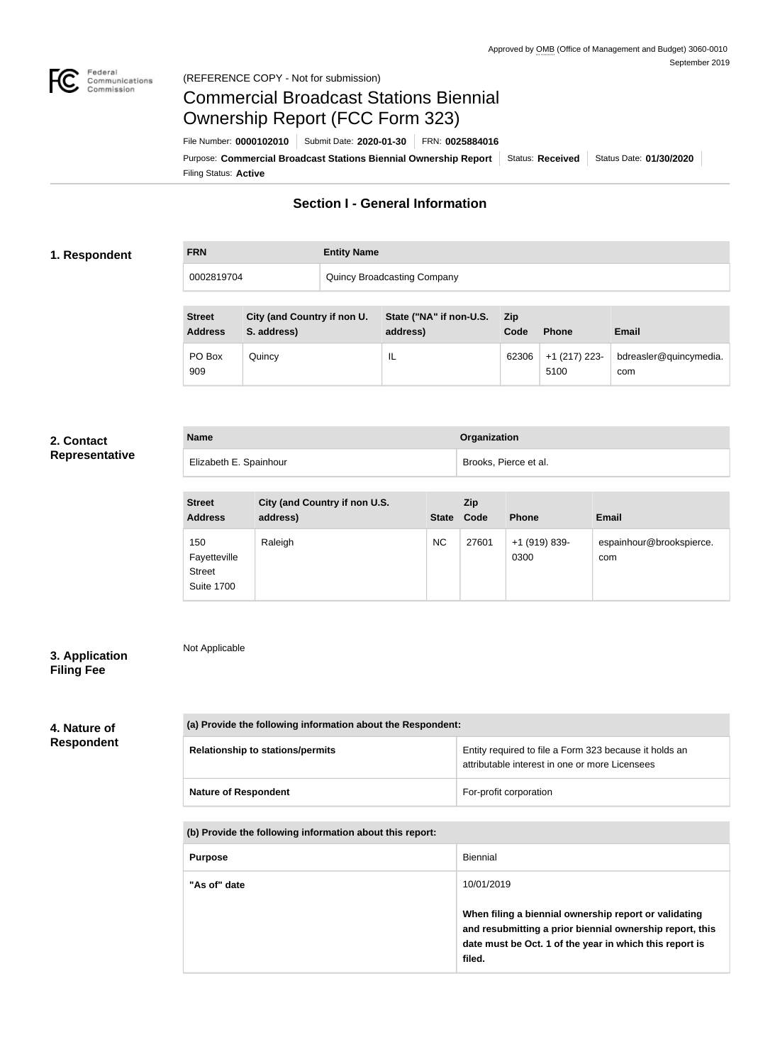

### Federal<br>Communications<br>Commission (REFERENCE COPY - Not for submission)

# Commercial Broadcast Stations Biennial Ownership Report (FCC Form 323)

Filing Status: **Active** Purpose: Commercial Broadcast Stations Biennial Ownership Report Status: Received Status Date: 01/30/2020 File Number: **0000102010** Submit Date: **2020-01-30** FRN: **0025884016**

## **Section I - General Information**

#### **1. Respondent**

| <b>FRN</b> | <b>Entity Name</b>          |
|------------|-----------------------------|
| 0002819704 | Quincy Broadcasting Company |

| <b>Street</b><br><b>Address</b> | City (and Country if non U.<br>S. address) | State ("NA" if non-U.S.<br>address) | <b>Zip</b><br>Code | <b>Phone</b>            | <b>Email</b>                  |
|---------------------------------|--------------------------------------------|-------------------------------------|--------------------|-------------------------|-------------------------------|
| PO Box<br>909                   | Quincy                                     | IL                                  | 62306              | $+1$ (217) 223-<br>5100 | bdreasler@quincymedia.<br>com |

#### **2. Contact Representative**

| <b>Name</b>            | Organization          |
|------------------------|-----------------------|
| Elizabeth E. Spainhour | Brooks, Pierce et al. |

| <b>Street</b><br><b>Address</b>                           | City (and Country if non U.S.<br>address) | <b>State</b> | Zip<br>Code | <b>Phone</b>          | <b>Email</b>                    |
|-----------------------------------------------------------|-------------------------------------------|--------------|-------------|-----------------------|---------------------------------|
| 150<br>Fayetteville<br><b>Street</b><br><b>Suite 1700</b> | Raleigh                                   | <b>NC</b>    | 27601       | +1 (919) 839-<br>0300 | espainhour@brookspierce.<br>com |

## **3. Application Filing Fee**

Not Applicable

## **4. Nature of Respondent**

| (a) Provide the following information about the Respondent: |                                                        |  |  |
|-------------------------------------------------------------|--------------------------------------------------------|--|--|
| <b>Relationship to stations/permits</b>                     | Entity required to file a Form 323 because it holds an |  |  |
|                                                             | attributable interest in one or more Licensees         |  |  |

| <b>Nature of Respondent</b> | For-profit corporation |
|-----------------------------|------------------------|
|                             |                        |

**(b) Provide the following information about this report:**

| <b>Purpose</b> | Biennial                                                                                                                                                                               |  |
|----------------|----------------------------------------------------------------------------------------------------------------------------------------------------------------------------------------|--|
| "As of" date   | 10/01/2019                                                                                                                                                                             |  |
|                | When filing a biennial ownership report or validating<br>and resubmitting a prior biennial ownership report, this<br>date must be Oct. 1 of the year in which this report is<br>filed. |  |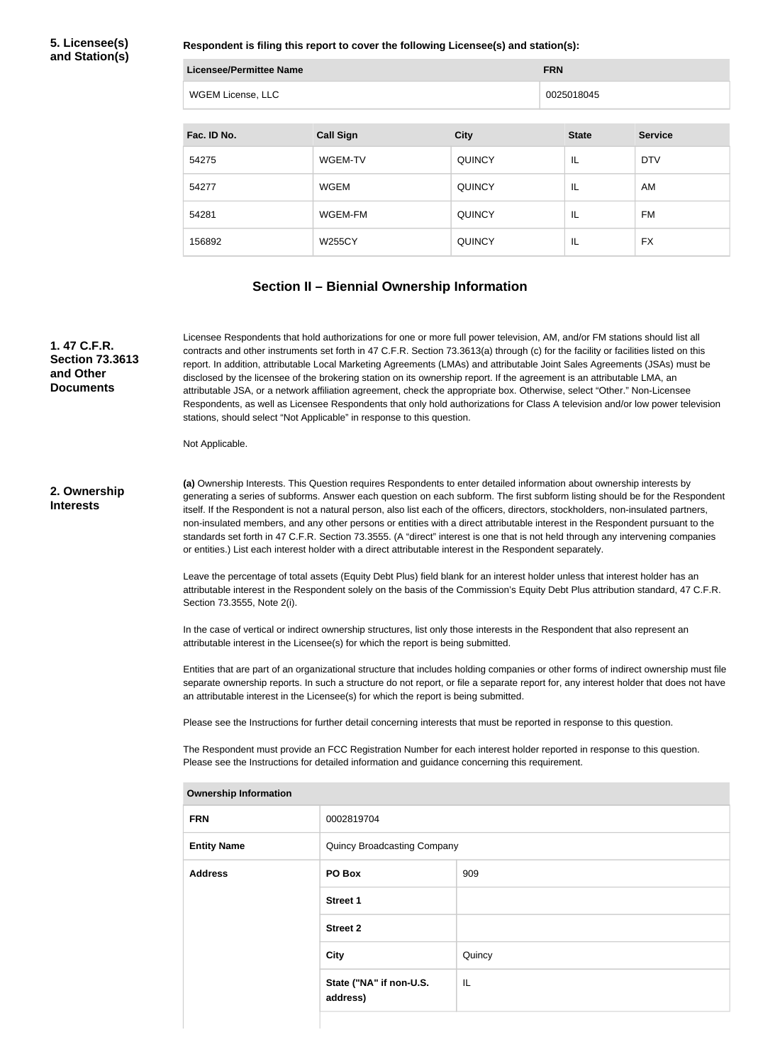#### **5. Licensee(s) and Station(s)**

**Respondent is filing this report to cover the following Licensee(s) and station(s):**

| <b>Licensee/Permittee Name</b> |                  |               | <b>FRN</b>   |                |
|--------------------------------|------------------|---------------|--------------|----------------|
| WGEM License, LLC              |                  | 0025018045    |              |                |
|                                |                  |               |              |                |
| Fac. ID No.                    | <b>Call Sign</b> | <b>City</b>   | <b>State</b> | <b>Service</b> |
| 54275                          | WGEM-TV          | <b>QUINCY</b> | IL           | <b>DTV</b>     |
| 54277                          | <b>WGEM</b>      | <b>QUINCY</b> | ΙL           | AM             |
| 54281                          | WGEM-FM          | <b>QUINCY</b> | IL           | <b>FM</b>      |
| 156892                         | <b>W255CY</b>    | <b>QUINCY</b> | IL           | <b>FX</b>      |

## **Section II – Biennial Ownership Information**

**1. 47 C.F.R. Section 73.3613 and Other Documents**

Licensee Respondents that hold authorizations for one or more full power television, AM, and/or FM stations should list all contracts and other instruments set forth in 47 C.F.R. Section 73.3613(a) through (c) for the facility or facilities listed on this report. In addition, attributable Local Marketing Agreements (LMAs) and attributable Joint Sales Agreements (JSAs) must be disclosed by the licensee of the brokering station on its ownership report. If the agreement is an attributable LMA, an attributable JSA, or a network affiliation agreement, check the appropriate box. Otherwise, select "Other." Non-Licensee Respondents, as well as Licensee Respondents that only hold authorizations for Class A television and/or low power television stations, should select "Not Applicable" in response to this question.

Not Applicable.

#### **2. Ownership Interests**

**(a)** Ownership Interests. This Question requires Respondents to enter detailed information about ownership interests by generating a series of subforms. Answer each question on each subform. The first subform listing should be for the Respondent itself. If the Respondent is not a natural person, also list each of the officers, directors, stockholders, non-insulated partners, non-insulated members, and any other persons or entities with a direct attributable interest in the Respondent pursuant to the standards set forth in 47 C.F.R. Section 73.3555. (A "direct" interest is one that is not held through any intervening companies or entities.) List each interest holder with a direct attributable interest in the Respondent separately.

Leave the percentage of total assets (Equity Debt Plus) field blank for an interest holder unless that interest holder has an attributable interest in the Respondent solely on the basis of the Commission's Equity Debt Plus attribution standard, 47 C.F.R. Section 73.3555, Note 2(i).

In the case of vertical or indirect ownership structures, list only those interests in the Respondent that also represent an attributable interest in the Licensee(s) for which the report is being submitted.

Entities that are part of an organizational structure that includes holding companies or other forms of indirect ownership must file separate ownership reports. In such a structure do not report, or file a separate report for, any interest holder that does not have an attributable interest in the Licensee(s) for which the report is being submitted.

Please see the Instructions for further detail concerning interests that must be reported in response to this question.

The Respondent must provide an FCC Registration Number for each interest holder reported in response to this question. Please see the Instructions for detailed information and guidance concerning this requirement.

| <b><i>U</i>WITERSHIP INTO HIME</b> |                                     |        |
|------------------------------------|-------------------------------------|--------|
| <b>FRN</b>                         | 0002819704                          |        |
| <b>Entity Name</b>                 | Quincy Broadcasting Company         |        |
| <b>Address</b>                     | PO Box                              | 909    |
|                                    | <b>Street 1</b>                     |        |
|                                    | <b>Street 2</b>                     |        |
|                                    | <b>City</b>                         | Quincy |
|                                    | State ("NA" if non-U.S.<br>address) | IL     |
|                                    |                                     |        |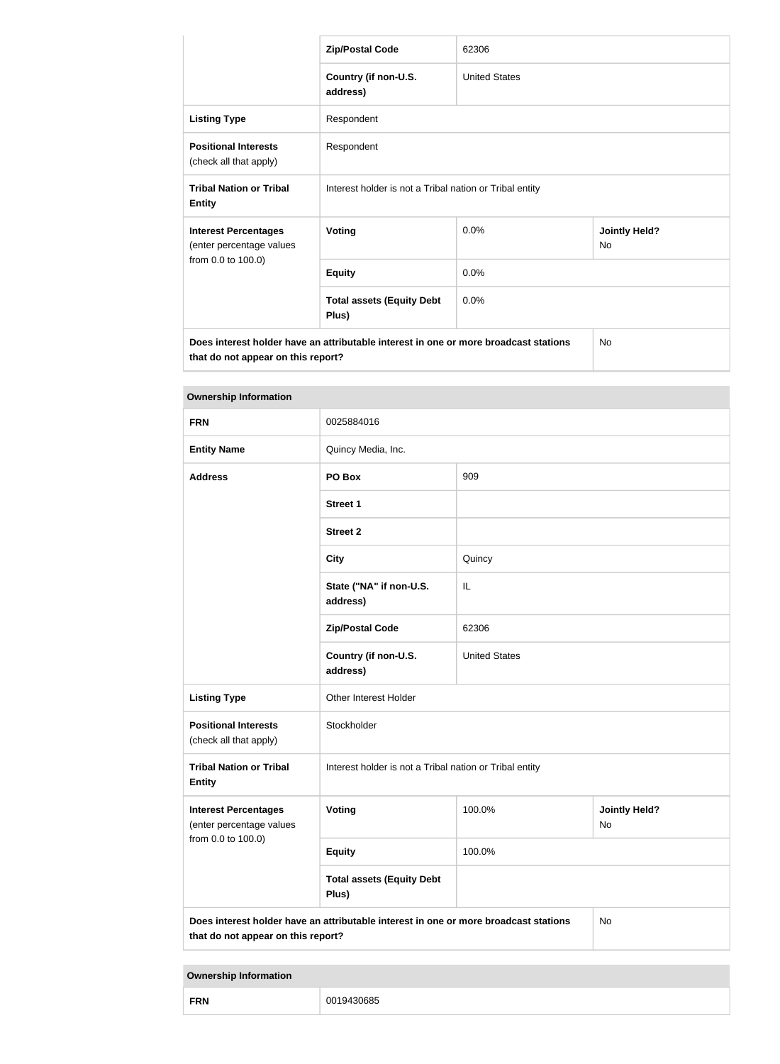|                                                                                                                            | <b>Zip/Postal Code</b>                                  | 62306                |                                   |
|----------------------------------------------------------------------------------------------------------------------------|---------------------------------------------------------|----------------------|-----------------------------------|
|                                                                                                                            | Country (if non-U.S.<br>address)                        | <b>United States</b> |                                   |
| <b>Listing Type</b>                                                                                                        | Respondent                                              |                      |                                   |
| <b>Positional Interests</b><br>(check all that apply)                                                                      | Respondent                                              |                      |                                   |
| <b>Tribal Nation or Tribal</b><br><b>Entity</b>                                                                            | Interest holder is not a Tribal nation or Tribal entity |                      |                                   |
| <b>Interest Percentages</b><br>(enter percentage values                                                                    | <b>Voting</b>                                           | 0.0%                 | <b>Jointly Held?</b><br><b>No</b> |
| from 0.0 to 100.0)                                                                                                         | <b>Equity</b>                                           | 0.0%                 |                                   |
|                                                                                                                            | <b>Total assets (Equity Debt</b><br>Plus)               | 0.0%                 |                                   |
| Does interest holder have an attributable interest in one or more broadcast stations<br>that do not appear on this report? |                                                         |                      | N <sub>o</sub>                    |

| <b>Ownership Information</b>                            |                                                                                                                                  |                      |                            |  |
|---------------------------------------------------------|----------------------------------------------------------------------------------------------------------------------------------|----------------------|----------------------------|--|
| <b>FRN</b>                                              | 0025884016                                                                                                                       |                      |                            |  |
| <b>Entity Name</b>                                      | Quincy Media, Inc.                                                                                                               |                      |                            |  |
| <b>Address</b>                                          | PO Box                                                                                                                           | 909                  |                            |  |
|                                                         | <b>Street 1</b>                                                                                                                  |                      |                            |  |
|                                                         | <b>Street 2</b>                                                                                                                  |                      |                            |  |
|                                                         | <b>City</b>                                                                                                                      | Quincy               |                            |  |
|                                                         | State ("NA" if non-U.S.<br>address)                                                                                              | IL                   |                            |  |
|                                                         | <b>Zip/Postal Code</b>                                                                                                           | 62306                |                            |  |
|                                                         | Country (if non-U.S.<br>address)                                                                                                 | <b>United States</b> |                            |  |
| <b>Listing Type</b>                                     | Other Interest Holder                                                                                                            |                      |                            |  |
| <b>Positional Interests</b><br>(check all that apply)   | Stockholder                                                                                                                      |                      |                            |  |
| <b>Tribal Nation or Tribal</b><br><b>Entity</b>         | Interest holder is not a Tribal nation or Tribal entity                                                                          |                      |                            |  |
| <b>Interest Percentages</b><br>(enter percentage values | Voting                                                                                                                           | 100.0%               | <b>Jointly Held?</b><br>No |  |
| from 0.0 to 100.0)                                      | <b>Equity</b>                                                                                                                    | 100.0%               |                            |  |
|                                                         | <b>Total assets (Equity Debt</b><br>Plus)                                                                                        |                      |                            |  |
|                                                         | Does interest holder have an attributable interest in one or more broadcast stations<br>No<br>that do not appear on this report? |                      |                            |  |

| <b>Ownership Information</b> |            |
|------------------------------|------------|
| <b>FRN</b>                   | 0019430685 |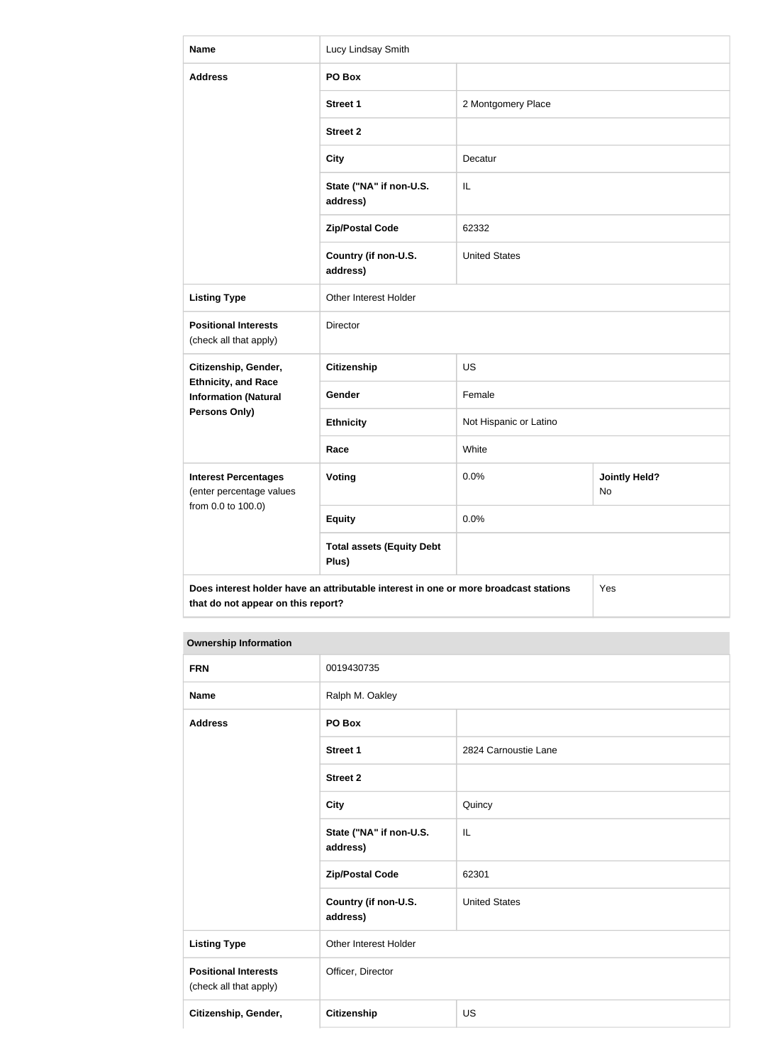| <b>Name</b>                                                                                                                       | Lucy Lindsay Smith                        |                        |                            |
|-----------------------------------------------------------------------------------------------------------------------------------|-------------------------------------------|------------------------|----------------------------|
| <b>Address</b>                                                                                                                    | PO Box                                    |                        |                            |
|                                                                                                                                   | <b>Street 1</b>                           | 2 Montgomery Place     |                            |
|                                                                                                                                   | <b>Street 2</b>                           |                        |                            |
|                                                                                                                                   | <b>City</b>                               | Decatur                |                            |
|                                                                                                                                   | State ("NA" if non-U.S.<br>address)       | IL                     |                            |
|                                                                                                                                   | <b>Zip/Postal Code</b>                    | 62332                  |                            |
|                                                                                                                                   | Country (if non-U.S.<br>address)          | <b>United States</b>   |                            |
| <b>Listing Type</b>                                                                                                               | Other Interest Holder                     |                        |                            |
| <b>Positional Interests</b><br>(check all that apply)                                                                             | <b>Director</b>                           |                        |                            |
| Citizenship, Gender,                                                                                                              | Citizenship                               | <b>US</b>              |                            |
| <b>Ethnicity, and Race</b><br><b>Information (Natural</b>                                                                         | Gender                                    | Female                 |                            |
| <b>Persons Only)</b>                                                                                                              | <b>Ethnicity</b>                          | Not Hispanic or Latino |                            |
|                                                                                                                                   | Race                                      | White                  |                            |
| <b>Interest Percentages</b><br>(enter percentage values                                                                           | <b>Voting</b>                             | 0.0%                   | <b>Jointly Held?</b><br>No |
| from 0.0 to 100.0)                                                                                                                | <b>Equity</b>                             | 0.0%                   |                            |
|                                                                                                                                   | <b>Total assets (Equity Debt</b><br>Plus) |                        |                            |
| Does interest holder have an attributable interest in one or more broadcast stations<br>Yes<br>that do not appear on this report? |                                           |                        |                            |

| <b>FRN</b>                                            | 0019430735                          |                      |
|-------------------------------------------------------|-------------------------------------|----------------------|
| <b>Name</b>                                           | Ralph M. Oakley                     |                      |
| <b>Address</b>                                        | PO Box                              |                      |
|                                                       | <b>Street 1</b>                     | 2824 Carnoustie Lane |
|                                                       | <b>Street 2</b>                     |                      |
|                                                       | <b>City</b>                         | Quincy               |
|                                                       | State ("NA" if non-U.S.<br>address) | IL                   |
|                                                       | <b>Zip/Postal Code</b>              | 62301                |
|                                                       | Country (if non-U.S.<br>address)    | <b>United States</b> |
| <b>Listing Type</b>                                   | Other Interest Holder               |                      |
| <b>Positional Interests</b><br>(check all that apply) | Officer, Director                   |                      |
| Citizenship, Gender,                                  | Citizenship                         | <b>US</b>            |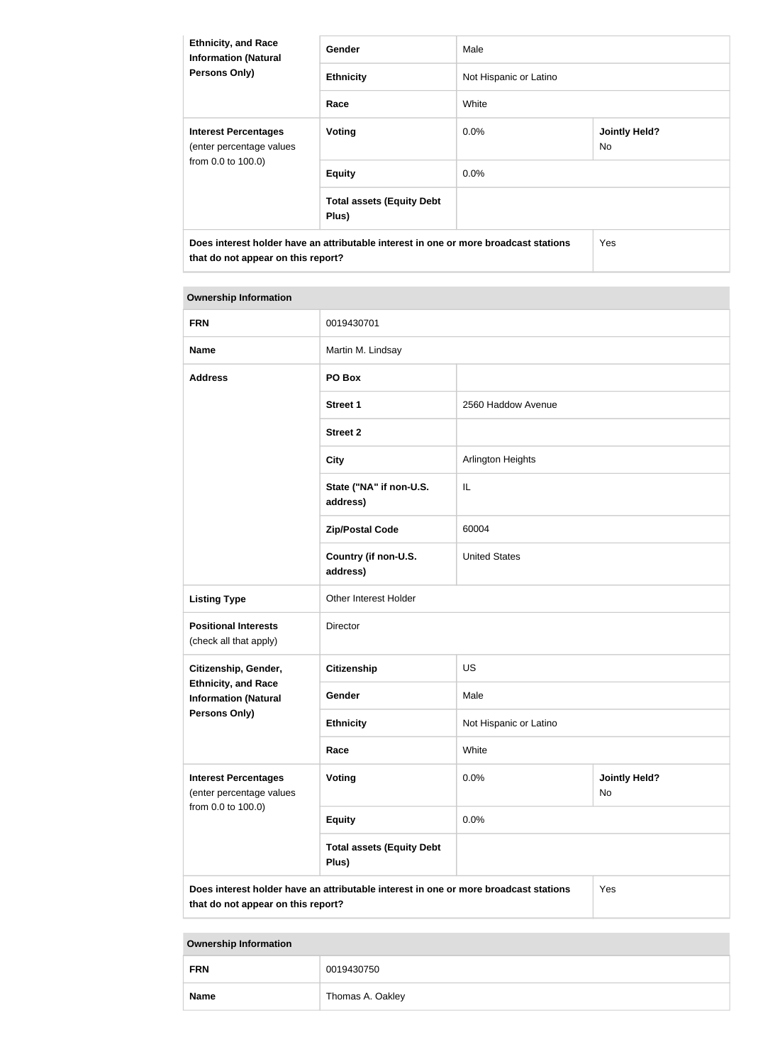| <b>Ethnicity, and Race</b><br><b>Information (Natural</b><br><b>Persons Only)</b>                                          | Gender                                    | Male                   |                             |
|----------------------------------------------------------------------------------------------------------------------------|-------------------------------------------|------------------------|-----------------------------|
|                                                                                                                            | <b>Ethnicity</b>                          | Not Hispanic or Latino |                             |
|                                                                                                                            | Race                                      | White                  |                             |
| <b>Interest Percentages</b><br>(enter percentage values<br>from 0.0 to 100.0)                                              | <b>Voting</b>                             | $0.0\%$                | <b>Jointly Held?</b><br>No. |
|                                                                                                                            | <b>Equity</b>                             | $0.0\%$                |                             |
|                                                                                                                            | <b>Total assets (Equity Debt</b><br>Plus) |                        |                             |
| Does interest holder have an attributable interest in one or more broadcast stations<br>that do not appear on this report? |                                           |                        | <b>Yes</b>                  |

| <b>Ownership Information</b>                                                                                                      |                                           |                        |                            |
|-----------------------------------------------------------------------------------------------------------------------------------|-------------------------------------------|------------------------|----------------------------|
| <b>FRN</b>                                                                                                                        | 0019430701                                |                        |                            |
| <b>Name</b>                                                                                                                       | Martin M. Lindsay                         |                        |                            |
| <b>Address</b>                                                                                                                    | PO Box                                    |                        |                            |
|                                                                                                                                   | <b>Street 1</b>                           | 2560 Haddow Avenue     |                            |
|                                                                                                                                   | <b>Street 2</b>                           |                        |                            |
|                                                                                                                                   | <b>City</b>                               | Arlington Heights      |                            |
|                                                                                                                                   | State ("NA" if non-U.S.<br>address)       | IL                     |                            |
|                                                                                                                                   | <b>Zip/Postal Code</b>                    | 60004                  |                            |
|                                                                                                                                   | Country (if non-U.S.<br>address)          | <b>United States</b>   |                            |
| <b>Listing Type</b>                                                                                                               | Other Interest Holder                     |                        |                            |
| <b>Positional Interests</b><br>(check all that apply)                                                                             | Director                                  |                        |                            |
| Citizenship, Gender,                                                                                                              | <b>Citizenship</b>                        | <b>US</b>              |                            |
| <b>Ethnicity, and Race</b><br><b>Information (Natural</b>                                                                         | Gender                                    | Male                   |                            |
| <b>Persons Only)</b>                                                                                                              | <b>Ethnicity</b>                          | Not Hispanic or Latino |                            |
|                                                                                                                                   | Race                                      | White                  |                            |
| <b>Interest Percentages</b><br>(enter percentage values                                                                           | Voting                                    | 0.0%                   | <b>Jointly Held?</b><br>No |
| from 0.0 to 100.0)                                                                                                                | <b>Equity</b>                             | 0.0%                   |                            |
|                                                                                                                                   | <b>Total assets (Equity Debt</b><br>Plus) |                        |                            |
| Does interest holder have an attributable interest in one or more broadcast stations<br>Yes<br>that do not appear on this report? |                                           |                        |                            |

| <b>FRN</b>  | 0019430750       |
|-------------|------------------|
| <b>Name</b> | Thomas A. Oakley |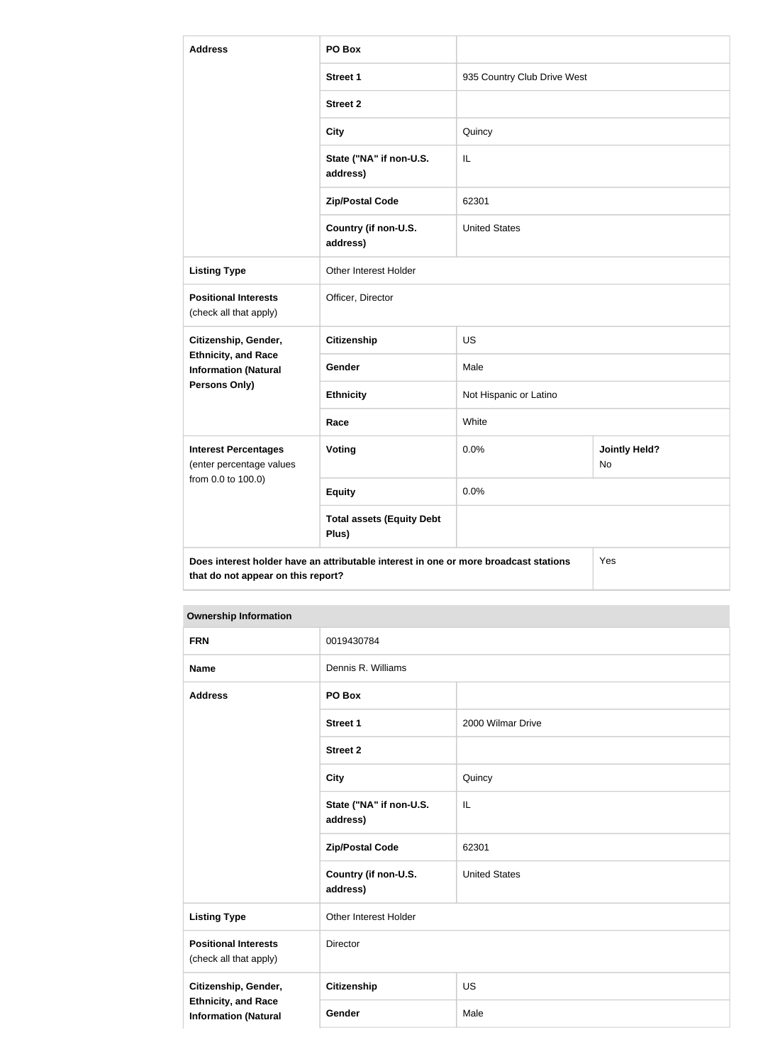| <b>Address</b>                                                                                                                    | PO Box                                    |                             |                            |
|-----------------------------------------------------------------------------------------------------------------------------------|-------------------------------------------|-----------------------------|----------------------------|
|                                                                                                                                   | <b>Street 1</b>                           | 935 Country Club Drive West |                            |
|                                                                                                                                   | <b>Street 2</b>                           |                             |                            |
|                                                                                                                                   | <b>City</b>                               | Quincy                      |                            |
|                                                                                                                                   | State ("NA" if non-U.S.<br>address)       | IL                          |                            |
|                                                                                                                                   | <b>Zip/Postal Code</b>                    | 62301                       |                            |
|                                                                                                                                   | Country (if non-U.S.<br>address)          | <b>United States</b>        |                            |
| <b>Listing Type</b>                                                                                                               | Other Interest Holder                     |                             |                            |
| <b>Positional Interests</b><br>(check all that apply)                                                                             | Officer, Director                         |                             |                            |
| Citizenship, Gender,                                                                                                              | <b>Citizenship</b>                        | <b>US</b>                   |                            |
| <b>Ethnicity, and Race</b><br><b>Information (Natural</b>                                                                         | Gender                                    | Male                        |                            |
| Persons Only)                                                                                                                     | <b>Ethnicity</b>                          | Not Hispanic or Latino      |                            |
|                                                                                                                                   | Race                                      | White                       |                            |
| <b>Interest Percentages</b><br>(enter percentage values<br>from 0.0 to 100.0)                                                     | Voting                                    | 0.0%                        | <b>Jointly Held?</b><br>No |
|                                                                                                                                   | <b>Equity</b>                             | 0.0%                        |                            |
|                                                                                                                                   | <b>Total assets (Equity Debt</b><br>Plus) |                             |                            |
| Does interest holder have an attributable interest in one or more broadcast stations<br>Yes<br>that do not appear on this report? |                                           |                             |                            |

| <b>FRN</b>                                                                        | 0019430784                          |                      |
|-----------------------------------------------------------------------------------|-------------------------------------|----------------------|
| <b>Name</b>                                                                       | Dennis R. Williams                  |                      |
| <b>Address</b>                                                                    | PO Box                              |                      |
|                                                                                   | Street 1                            | 2000 Wilmar Drive    |
|                                                                                   | <b>Street 2</b>                     |                      |
|                                                                                   | <b>City</b>                         | Quincy               |
|                                                                                   | State ("NA" if non-U.S.<br>address) | IL                   |
|                                                                                   | <b>Zip/Postal Code</b>              | 62301                |
|                                                                                   | Country (if non-U.S.<br>address)    | <b>United States</b> |
| <b>Listing Type</b>                                                               | Other Interest Holder               |                      |
| <b>Positional Interests</b><br>(check all that apply)                             | Director                            |                      |
| Citizenship, Gender,<br><b>Ethnicity, and Race</b><br><b>Information (Natural</b> | <b>Citizenship</b>                  | <b>US</b>            |
|                                                                                   | Gender                              | Male                 |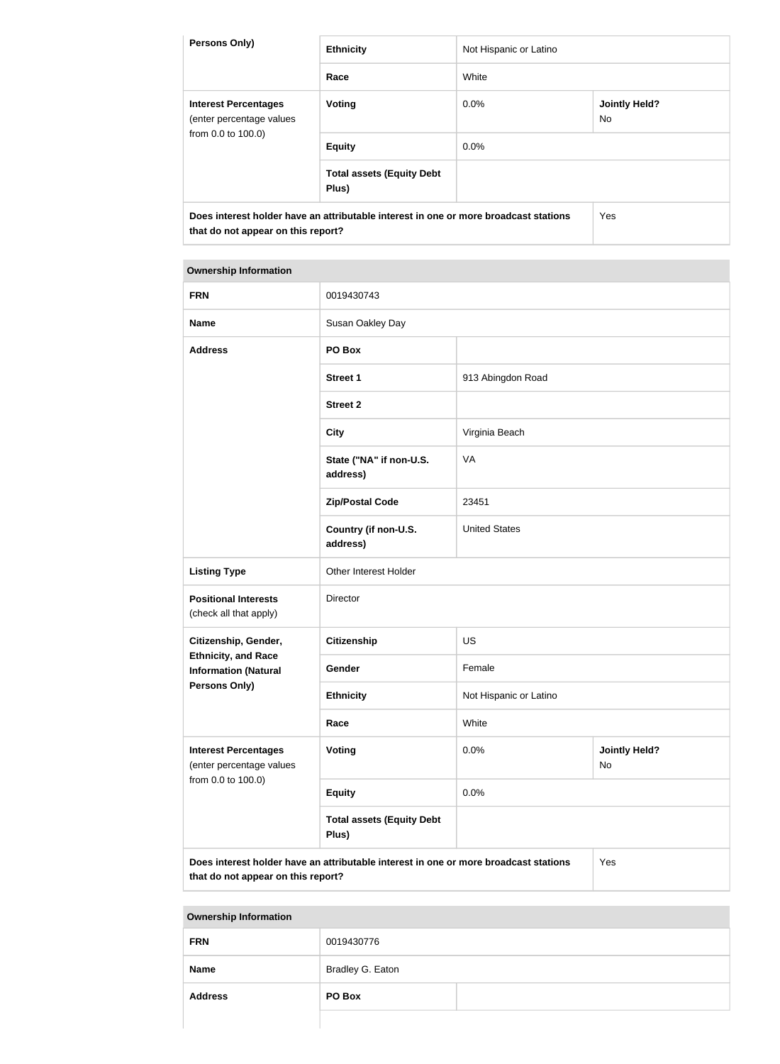| <b>Persons Only)</b>                                                                                                       | <b>Ethnicity</b>                          | Not Hispanic or Latino |                             |
|----------------------------------------------------------------------------------------------------------------------------|-------------------------------------------|------------------------|-----------------------------|
|                                                                                                                            | Race                                      | White                  |                             |
| <b>Interest Percentages</b><br>(enter percentage values<br>from 0.0 to 100.0)                                              | Voting                                    | $0.0\%$                | <b>Jointly Held?</b><br>No. |
|                                                                                                                            | <b>Equity</b>                             | 0.0%                   |                             |
|                                                                                                                            | <b>Total assets (Equity Debt</b><br>Plus) |                        |                             |
| Does interest holder have an attributable interest in one or more broadcast stations<br>that do not appear on this report? |                                           | Yes                    |                             |

| <b>FRN</b>                                                                    | 0019430743                                                                           |                        |                            |
|-------------------------------------------------------------------------------|--------------------------------------------------------------------------------------|------------------------|----------------------------|
| <b>Name</b>                                                                   | Susan Oakley Day                                                                     |                        |                            |
| <b>Address</b>                                                                | PO Box                                                                               |                        |                            |
|                                                                               | <b>Street 1</b>                                                                      | 913 Abingdon Road      |                            |
|                                                                               | <b>Street 2</b>                                                                      |                        |                            |
|                                                                               | <b>City</b>                                                                          | Virginia Beach         |                            |
|                                                                               | State ("NA" if non-U.S.<br>address)                                                  | VA                     |                            |
|                                                                               | <b>Zip/Postal Code</b>                                                               | 23451                  |                            |
|                                                                               | Country (if non-U.S.<br>address)                                                     | <b>United States</b>   |                            |
| <b>Listing Type</b>                                                           | Other Interest Holder                                                                |                        |                            |
| <b>Positional Interests</b><br>(check all that apply)                         | Director                                                                             |                        |                            |
| Citizenship, Gender,                                                          | <b>Citizenship</b>                                                                   | <b>US</b>              |                            |
| <b>Ethnicity, and Race</b><br><b>Information (Natural</b>                     | Gender                                                                               | Female                 |                            |
| Persons Only)                                                                 | <b>Ethnicity</b>                                                                     | Not Hispanic or Latino |                            |
|                                                                               | Race                                                                                 | White                  |                            |
| <b>Interest Percentages</b><br>(enter percentage values<br>from 0.0 to 100.0) | Voting                                                                               | 0.0%                   | <b>Jointly Held?</b><br>No |
|                                                                               | <b>Equity</b>                                                                        | 0.0%                   |                            |
|                                                                               | <b>Total assets (Equity Debt</b><br>Plus)                                            |                        |                            |
|                                                                               | Does interest holder have an attributable interest in one or more broadcast stations |                        | Yes                        |

**that do not appear on this report?**

| <b>FRN</b>     | 0019430776       |  |
|----------------|------------------|--|
| <b>Name</b>    | Bradley G. Eaton |  |
| <b>Address</b> | PO Box           |  |
|                |                  |  |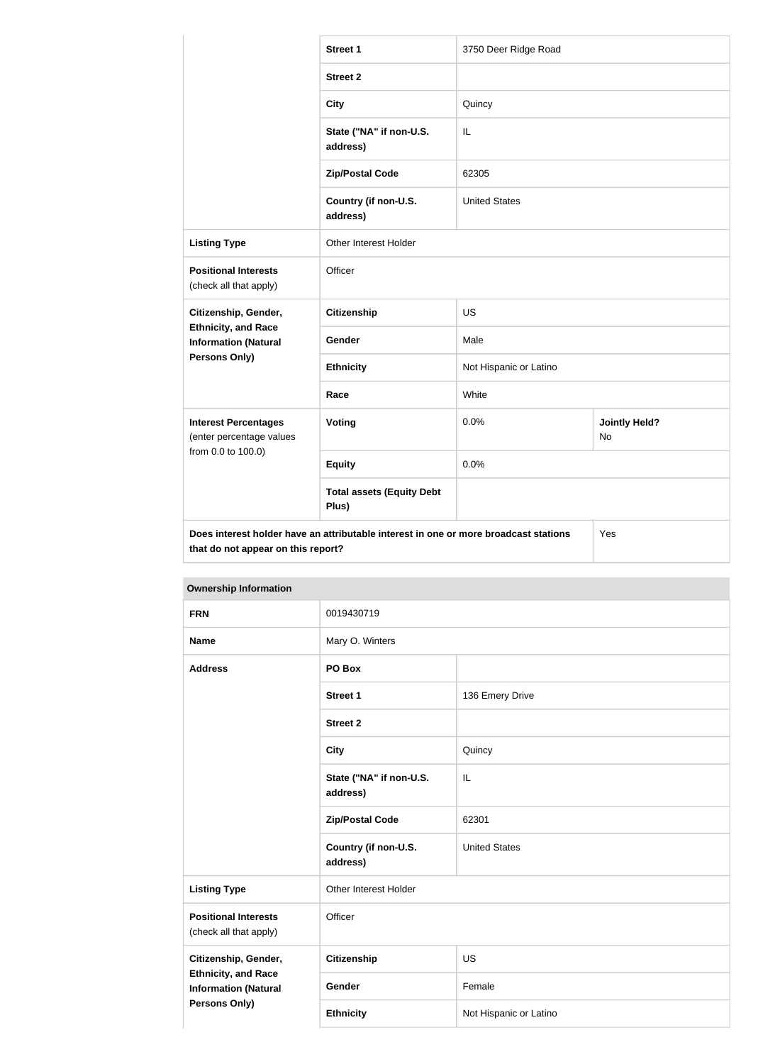|                                                                                                                                   | <b>Street 1</b>                           | 3750 Deer Ridge Road   |                                   |
|-----------------------------------------------------------------------------------------------------------------------------------|-------------------------------------------|------------------------|-----------------------------------|
|                                                                                                                                   | <b>Street 2</b>                           |                        |                                   |
|                                                                                                                                   | <b>City</b>                               | Quincy                 |                                   |
|                                                                                                                                   | State ("NA" if non-U.S.<br>address)       | IL                     |                                   |
|                                                                                                                                   | <b>Zip/Postal Code</b>                    | 62305                  |                                   |
|                                                                                                                                   | Country (if non-U.S.<br>address)          | <b>United States</b>   |                                   |
| <b>Listing Type</b>                                                                                                               | <b>Other Interest Holder</b>              |                        |                                   |
| <b>Positional Interests</b><br>(check all that apply)                                                                             | Officer                                   |                        |                                   |
| Citizenship, Gender,                                                                                                              | <b>Citizenship</b>                        | <b>US</b>              |                                   |
| <b>Ethnicity, and Race</b><br><b>Information (Natural</b>                                                                         | Gender                                    | Male                   |                                   |
| Persons Only)                                                                                                                     | <b>Ethnicity</b>                          | Not Hispanic or Latino |                                   |
|                                                                                                                                   | Race                                      | White                  |                                   |
| <b>Interest Percentages</b><br>(enter percentage values                                                                           | Voting                                    | 0.0%                   | <b>Jointly Held?</b><br><b>No</b> |
| from 0.0 to 100.0)                                                                                                                | <b>Equity</b>                             | 0.0%                   |                                   |
|                                                                                                                                   | <b>Total assets (Equity Debt</b><br>Plus) |                        |                                   |
| Does interest holder have an attributable interest in one or more broadcast stations<br>Yes<br>that do not appear on this report? |                                           |                        |                                   |

| <b>Ownership Information</b>                                                                              |                                     |                        |
|-----------------------------------------------------------------------------------------------------------|-------------------------------------|------------------------|
| <b>FRN</b>                                                                                                | 0019430719                          |                        |
| <b>Name</b>                                                                                               | Mary O. Winters                     |                        |
| <b>Address</b>                                                                                            | PO Box                              |                        |
|                                                                                                           | <b>Street 1</b>                     | 136 Emery Drive        |
|                                                                                                           | <b>Street 2</b>                     |                        |
|                                                                                                           | <b>City</b>                         | Quincy                 |
|                                                                                                           | State ("NA" if non-U.S.<br>address) | IL                     |
|                                                                                                           | <b>Zip/Postal Code</b>              | 62301                  |
|                                                                                                           | Country (if non-U.S.<br>address)    | <b>United States</b>   |
| <b>Listing Type</b>                                                                                       | Other Interest Holder               |                        |
| <b>Positional Interests</b><br>(check all that apply)                                                     | Officer                             |                        |
| Citizenship, Gender,<br><b>Ethnicity, and Race</b><br><b>Information (Natural</b><br><b>Persons Only)</b> | <b>Citizenship</b>                  | <b>US</b>              |
|                                                                                                           | Gender                              | Female                 |
|                                                                                                           | <b>Ethnicity</b>                    | Not Hispanic or Latino |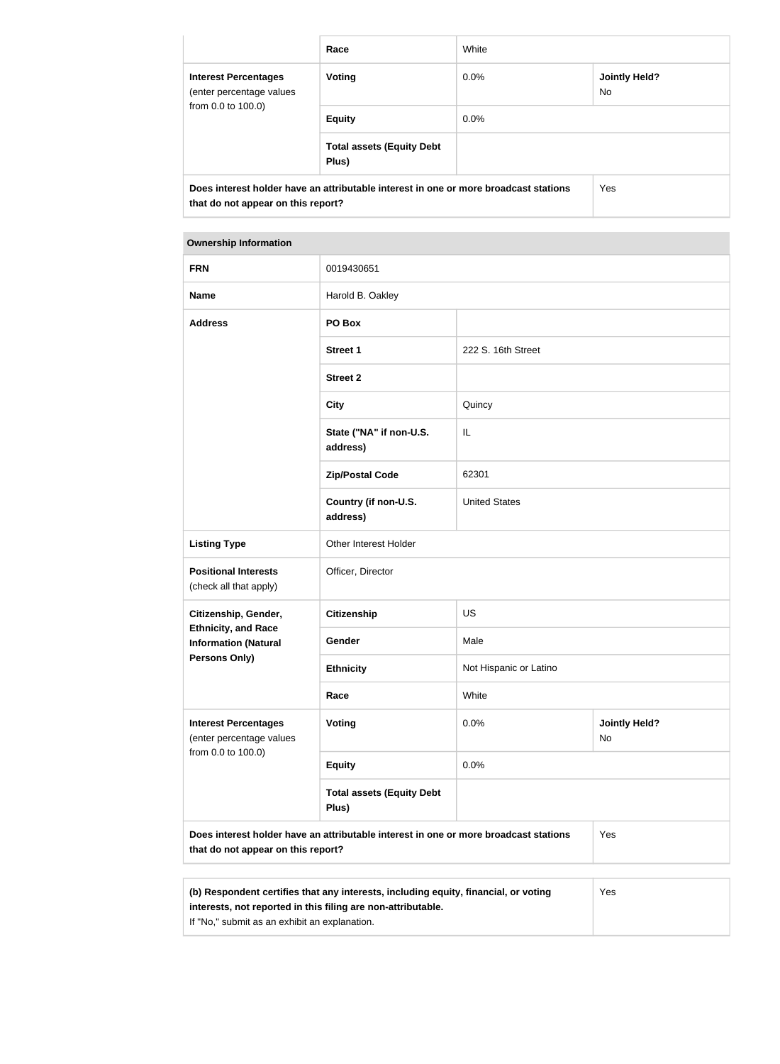|                                                                                                                            | Race                                      | White   |                             |
|----------------------------------------------------------------------------------------------------------------------------|-------------------------------------------|---------|-----------------------------|
| <b>Interest Percentages</b><br>(enter percentage values<br>from 0.0 to 100.0)                                              | <b>Voting</b>                             | $0.0\%$ | <b>Jointly Held?</b><br>No. |
|                                                                                                                            | <b>Equity</b>                             | $0.0\%$ |                             |
|                                                                                                                            | <b>Total assets (Equity Debt</b><br>Plus) |         |                             |
| Does interest holder have an attributable interest in one or more broadcast stations<br>that do not appear on this report? |                                           | Yes     |                             |

| <b>Ownership Information</b>                                                                                                      |                                           |                        |                            |
|-----------------------------------------------------------------------------------------------------------------------------------|-------------------------------------------|------------------------|----------------------------|
| <b>FRN</b>                                                                                                                        | 0019430651                                |                        |                            |
| <b>Name</b>                                                                                                                       | Harold B. Oakley                          |                        |                            |
| <b>Address</b>                                                                                                                    | PO Box                                    |                        |                            |
|                                                                                                                                   | <b>Street 1</b>                           | 222 S. 16th Street     |                            |
|                                                                                                                                   | <b>Street 2</b>                           |                        |                            |
|                                                                                                                                   | <b>City</b>                               | Quincy                 |                            |
|                                                                                                                                   | State ("NA" if non-U.S.<br>address)       | IL                     |                            |
|                                                                                                                                   | <b>Zip/Postal Code</b>                    | 62301                  |                            |
|                                                                                                                                   | Country (if non-U.S.<br>address)          | <b>United States</b>   |                            |
| <b>Listing Type</b>                                                                                                               | Other Interest Holder                     |                        |                            |
| <b>Positional Interests</b><br>(check all that apply)                                                                             | Officer, Director                         |                        |                            |
| Citizenship, Gender,                                                                                                              | <b>Citizenship</b>                        | <b>US</b>              |                            |
| <b>Ethnicity, and Race</b><br><b>Information (Natural</b>                                                                         | Gender                                    | Male                   |                            |
| <b>Persons Only)</b>                                                                                                              | <b>Ethnicity</b>                          | Not Hispanic or Latino |                            |
|                                                                                                                                   | Race                                      | White                  |                            |
| <b>Interest Percentages</b><br>(enter percentage values                                                                           | <b>Voting</b>                             | 0.0%                   | <b>Jointly Held?</b><br>No |
| from 0.0 to 100.0)                                                                                                                | <b>Equity</b>                             | 0.0%                   |                            |
|                                                                                                                                   | <b>Total assets (Equity Debt</b><br>Plus) |                        |                            |
| Yes<br>Does interest holder have an attributable interest in one or more broadcast stations<br>that do not appear on this report? |                                           |                        |                            |

| (b) Respondent certifies that any interests, including equity, financial, or voting | Yes |
|-------------------------------------------------------------------------------------|-----|
| interests, not reported in this filing are non-attributable.                        |     |
| If "No," submit as an exhibit an explanation.                                       |     |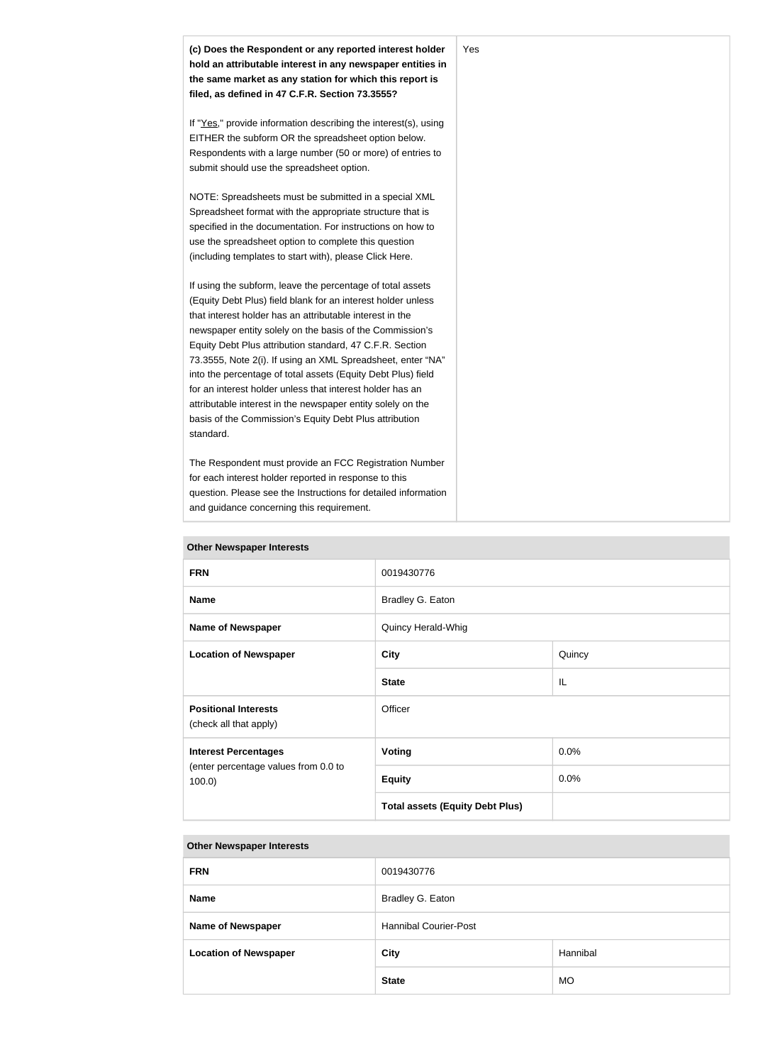| (c) Does the Respondent or any reported interest holder<br>hold an attributable interest in any newspaper entities in<br>the same market as any station for which this report is<br>filed, as defined in 47 C.F.R. Section 73.3555?                                                                                                                                                                                                                                                                                                                                                                                                              | Yes |
|--------------------------------------------------------------------------------------------------------------------------------------------------------------------------------------------------------------------------------------------------------------------------------------------------------------------------------------------------------------------------------------------------------------------------------------------------------------------------------------------------------------------------------------------------------------------------------------------------------------------------------------------------|-----|
| If "Yes," provide information describing the interest(s), using<br>EITHER the subform OR the spreadsheet option below.<br>Respondents with a large number (50 or more) of entries to<br>submit should use the spreadsheet option.                                                                                                                                                                                                                                                                                                                                                                                                                |     |
| NOTE: Spreadsheets must be submitted in a special XML<br>Spreadsheet format with the appropriate structure that is<br>specified in the documentation. For instructions on how to<br>use the spreadsheet option to complete this question<br>(including templates to start with), please Click Here.                                                                                                                                                                                                                                                                                                                                              |     |
| If using the subform, leave the percentage of total assets<br>(Equity Debt Plus) field blank for an interest holder unless<br>that interest holder has an attributable interest in the<br>newspaper entity solely on the basis of the Commission's<br>Equity Debt Plus attribution standard, 47 C.F.R. Section<br>73.3555, Note 2(i). If using an XML Spreadsheet, enter "NA"<br>into the percentage of total assets (Equity Debt Plus) field<br>for an interest holder unless that interest holder has an<br>attributable interest in the newspaper entity solely on the<br>basis of the Commission's Equity Debt Plus attribution<br>standard. |     |
| The Respondent must provide an FCC Registration Number<br>for each interest holder reported in response to this<br>question. Please see the Instructions for detailed information<br>and guidance concerning this requirement.                                                                                                                                                                                                                                                                                                                                                                                                                   |     |

| <b>FRN</b>                                            | 0019430776                             |        |  |
|-------------------------------------------------------|----------------------------------------|--------|--|
| <b>Name</b>                                           | Bradley G. Eaton                       |        |  |
| <b>Name of Newspaper</b>                              | Quincy Herald-Whig                     |        |  |
| <b>Location of Newspaper</b>                          | <b>City</b>                            | Quincy |  |
|                                                       | <b>State</b>                           | IL     |  |
| <b>Positional Interests</b><br>(check all that apply) | Officer                                |        |  |
| <b>Interest Percentages</b>                           | <b>Voting</b>                          | 0.0%   |  |
| (enter percentage values from 0.0 to<br>100.0         | <b>Equity</b>                          | 0.0%   |  |
|                                                       | <b>Total assets (Equity Debt Plus)</b> |        |  |

| <b>FRN</b>                   | 0019430776                   |           |
|------------------------------|------------------------------|-----------|
| <b>Name</b>                  | Bradley G. Eaton             |           |
| <b>Name of Newspaper</b>     | <b>Hannibal Courier-Post</b> |           |
| <b>Location of Newspaper</b> | Hannibal<br><b>City</b>      |           |
|                              | <b>State</b>                 | <b>MO</b> |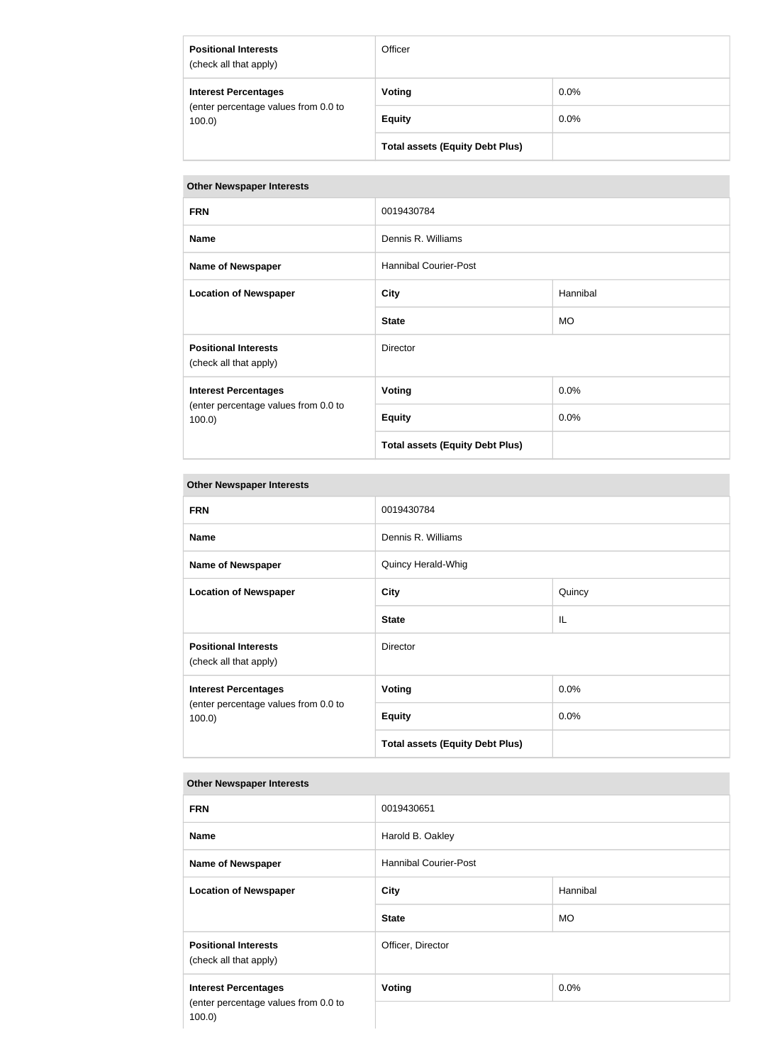| <b>Positional Interests</b><br>(check all that apply)                        | Officer                                |         |
|------------------------------------------------------------------------------|----------------------------------------|---------|
| <b>Interest Percentages</b><br>(enter percentage values from 0.0 to<br>100.0 | Voting                                 | $0.0\%$ |
|                                                                              | <b>Equity</b>                          | $0.0\%$ |
|                                                                              | <b>Total assets (Equity Debt Plus)</b> |         |

| <b>FRN</b>                                                                       | 0019430784                             |           |  |
|----------------------------------------------------------------------------------|----------------------------------------|-----------|--|
| <b>Name</b>                                                                      | Dennis R. Williams                     |           |  |
| <b>Name of Newspaper</b>                                                         | <b>Hannibal Courier-Post</b>           |           |  |
| <b>Location of Newspaper</b>                                                     | <b>City</b>                            | Hannibal  |  |
|                                                                                  | <b>State</b>                           | <b>MO</b> |  |
| <b>Positional Interests</b><br>(check all that apply)                            | Director                               |           |  |
| <b>Interest Percentages</b><br>(enter percentage values from 0.0 to<br>$100.0$ ) | <b>Voting</b>                          | 0.0%      |  |
|                                                                                  | <b>Equity</b>                          | 0.0%      |  |
|                                                                                  | <b>Total assets (Equity Debt Plus)</b> |           |  |

## **Other Newspaper Interests**

| <b>FRN</b>                                                                   | 0019430784                             |        |
|------------------------------------------------------------------------------|----------------------------------------|--------|
| <b>Name</b>                                                                  | Dennis R. Williams                     |        |
| <b>Name of Newspaper</b>                                                     | Quincy Herald-Whig                     |        |
| <b>Location of Newspaper</b>                                                 | <b>City</b>                            | Quincy |
|                                                                              | <b>State</b>                           | IL     |
| <b>Positional Interests</b><br>(check all that apply)                        | <b>Director</b>                        |        |
| <b>Interest Percentages</b><br>(enter percentage values from 0.0 to<br>100.0 | <b>Voting</b>                          | 0.0%   |
|                                                                              | <b>Equity</b>                          | 0.0%   |
|                                                                              | <b>Total assets (Equity Debt Plus)</b> |        |

| <b>FRN</b>                                            | 0019430651                   |           |
|-------------------------------------------------------|------------------------------|-----------|
| <b>Name</b>                                           | Harold B. Oakley             |           |
| <b>Name of Newspaper</b>                              | <b>Hannibal Courier-Post</b> |           |
| <b>Location of Newspaper</b>                          | <b>City</b>                  | Hannibal  |
|                                                       | <b>State</b>                 | <b>MO</b> |
| <b>Positional Interests</b><br>(check all that apply) | Officer, Director            |           |
| <b>Interest Percentages</b>                           | <b>Voting</b>                | 0.0%      |
| (enter percentage values from 0.0 to<br>$100.0$ )     |                              |           |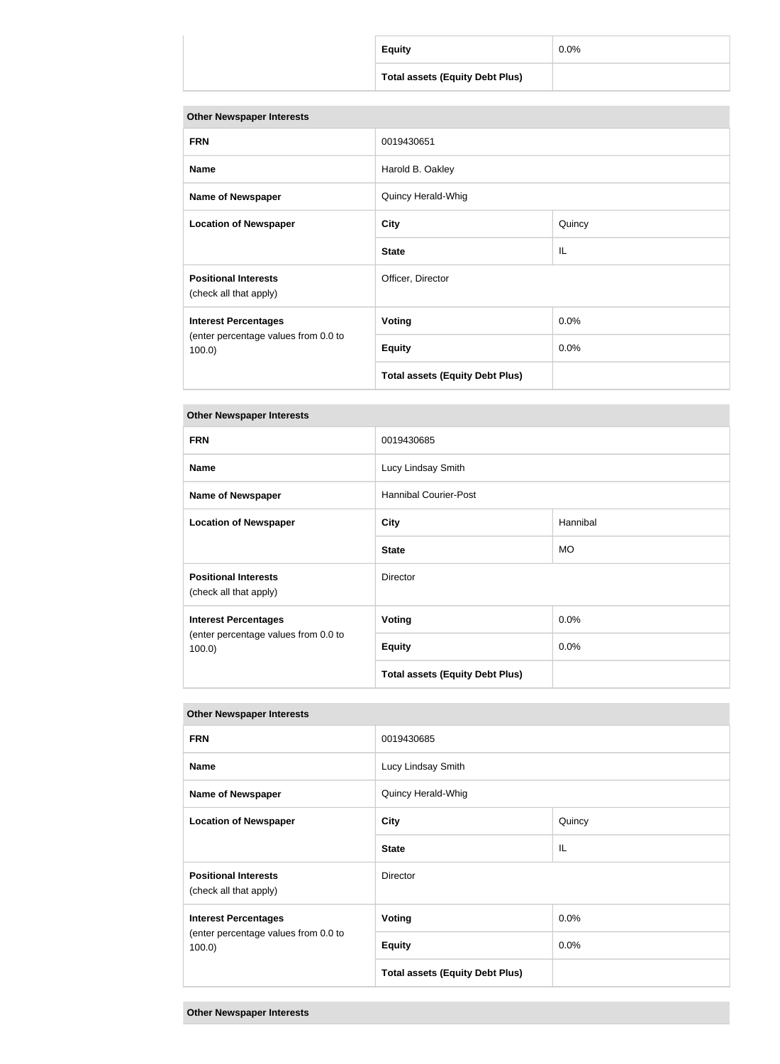| <b>Equity</b>                          | 0.0% |
|----------------------------------------|------|
| <b>Total assets (Equity Debt Plus)</b> |      |

| <b>FRN</b>                                            | 0019430651                             |        |  |
|-------------------------------------------------------|----------------------------------------|--------|--|
| <b>Name</b>                                           | Harold B. Oakley                       |        |  |
| <b>Name of Newspaper</b>                              | Quincy Herald-Whig                     |        |  |
| <b>Location of Newspaper</b>                          | <b>City</b>                            | Quincy |  |
|                                                       | <b>State</b>                           | IL     |  |
| <b>Positional Interests</b><br>(check all that apply) | Officer, Director                      |        |  |
| <b>Interest Percentages</b>                           | <b>Voting</b>                          | 0.0%   |  |
| (enter percentage values from 0.0 to<br>$100.0$ )     | <b>Equity</b>                          | 0.0%   |  |
|                                                       | <b>Total assets (Equity Debt Plus)</b> |        |  |

## **Other Newspaper Interests**

| <b>FRN</b>                                                                       | 0019430685                             |           |
|----------------------------------------------------------------------------------|----------------------------------------|-----------|
| <b>Name</b>                                                                      | Lucy Lindsay Smith                     |           |
| <b>Name of Newspaper</b>                                                         | <b>Hannibal Courier-Post</b>           |           |
| <b>Location of Newspaper</b>                                                     | <b>City</b>                            | Hannibal  |
|                                                                                  | <b>State</b>                           | <b>MO</b> |
| <b>Positional Interests</b><br>(check all that apply)                            | <b>Director</b>                        |           |
| <b>Interest Percentages</b><br>(enter percentage values from 0.0 to<br>$100.0$ ) | <b>Voting</b>                          | 0.0%      |
|                                                                                  | <b>Equity</b>                          | 0.0%      |
|                                                                                  | <b>Total assets (Equity Debt Plus)</b> |           |

| <b>FRN</b>                                                                       | 0019430685                             |        |
|----------------------------------------------------------------------------------|----------------------------------------|--------|
| <b>Name</b>                                                                      | Lucy Lindsay Smith                     |        |
| <b>Name of Newspaper</b>                                                         | Quincy Herald-Whig                     |        |
| <b>Location of Newspaper</b>                                                     | <b>City</b>                            | Quincy |
|                                                                                  | <b>State</b>                           | IL     |
| <b>Positional Interests</b><br>(check all that apply)                            | Director                               |        |
| <b>Interest Percentages</b><br>(enter percentage values from 0.0 to<br>$100.0$ ) | <b>Voting</b>                          | 0.0%   |
|                                                                                  | <b>Equity</b>                          | 0.0%   |
|                                                                                  | <b>Total assets (Equity Debt Plus)</b> |        |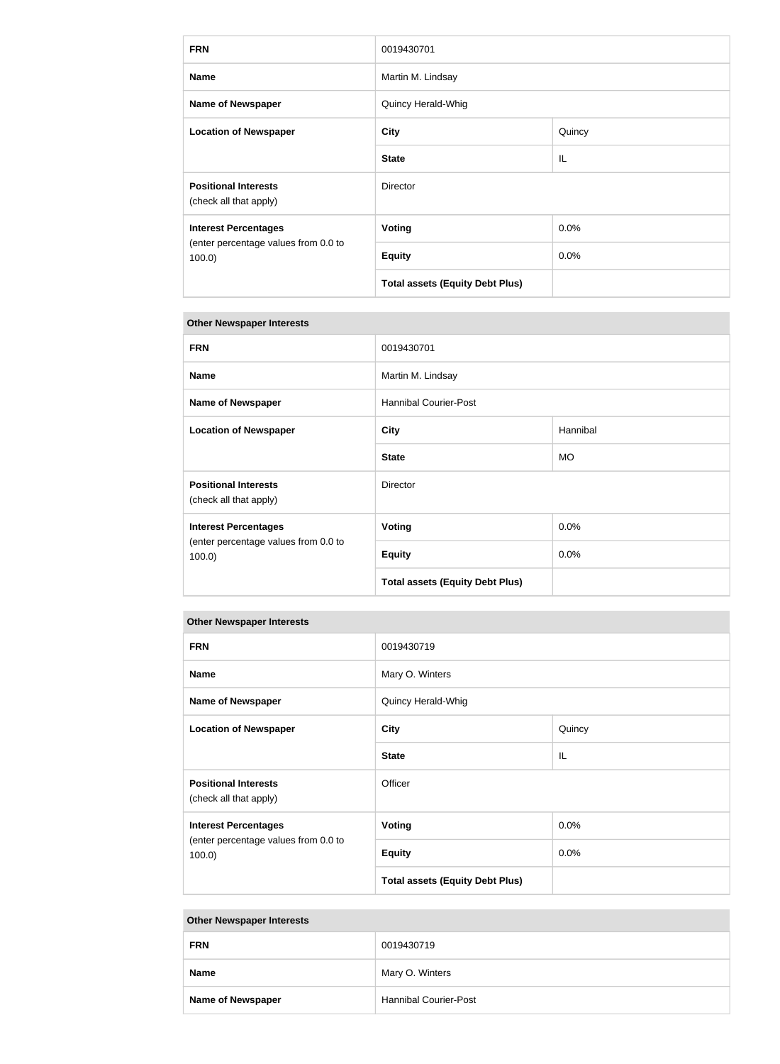| <b>FRN</b>                                                                       | 0019430701                             |        |
|----------------------------------------------------------------------------------|----------------------------------------|--------|
| <b>Name</b>                                                                      | Martin M. Lindsay                      |        |
| <b>Name of Newspaper</b>                                                         | Quincy Herald-Whig                     |        |
| <b>Location of Newspaper</b>                                                     | <b>City</b>                            | Quincy |
|                                                                                  | <b>State</b>                           | IL     |
| <b>Positional Interests</b><br>(check all that apply)                            | Director                               |        |
| <b>Interest Percentages</b><br>(enter percentage values from 0.0 to<br>$100.0$ ) | <b>Voting</b>                          | 0.0%   |
|                                                                                  | <b>Equity</b>                          | 0.0%   |
|                                                                                  | <b>Total assets (Equity Debt Plus)</b> |        |

| <b>FRN</b>                                                                       | 0019430701                             |           |
|----------------------------------------------------------------------------------|----------------------------------------|-----------|
| <b>Name</b>                                                                      | Martin M. Lindsay                      |           |
| <b>Name of Newspaper</b>                                                         | <b>Hannibal Courier-Post</b>           |           |
| <b>Location of Newspaper</b>                                                     | <b>City</b>                            | Hannibal  |
|                                                                                  | <b>State</b>                           | <b>MO</b> |
| <b>Positional Interests</b><br>(check all that apply)                            | <b>Director</b>                        |           |
| <b>Interest Percentages</b><br>(enter percentage values from 0.0 to<br>$100.0$ ) | Voting                                 | $0.0\%$   |
|                                                                                  | <b>Equity</b>                          | 0.0%      |
|                                                                                  | <b>Total assets (Equity Debt Plus)</b> |           |

#### **Other Newspaper Interests**

| <b>FRN</b>                                                                   | 0019430719                             |        |
|------------------------------------------------------------------------------|----------------------------------------|--------|
| <b>Name</b>                                                                  | Mary O. Winters                        |        |
| <b>Name of Newspaper</b>                                                     | Quincy Herald-Whig                     |        |
| <b>Location of Newspaper</b>                                                 | <b>City</b>                            | Quincy |
|                                                                              | <b>State</b>                           | IL     |
| <b>Positional Interests</b><br>(check all that apply)                        | Officer                                |        |
| <b>Interest Percentages</b><br>(enter percentage values from 0.0 to<br>100.0 | Voting                                 | 0.0%   |
|                                                                              | <b>Equity</b>                          | 0.0%   |
|                                                                              | <b>Total assets (Equity Debt Plus)</b> |        |

| <b>FRN</b>               | 0019430719                   |
|--------------------------|------------------------------|
| <b>Name</b>              | Mary O. Winters              |
| <b>Name of Newspaper</b> | <b>Hannibal Courier-Post</b> |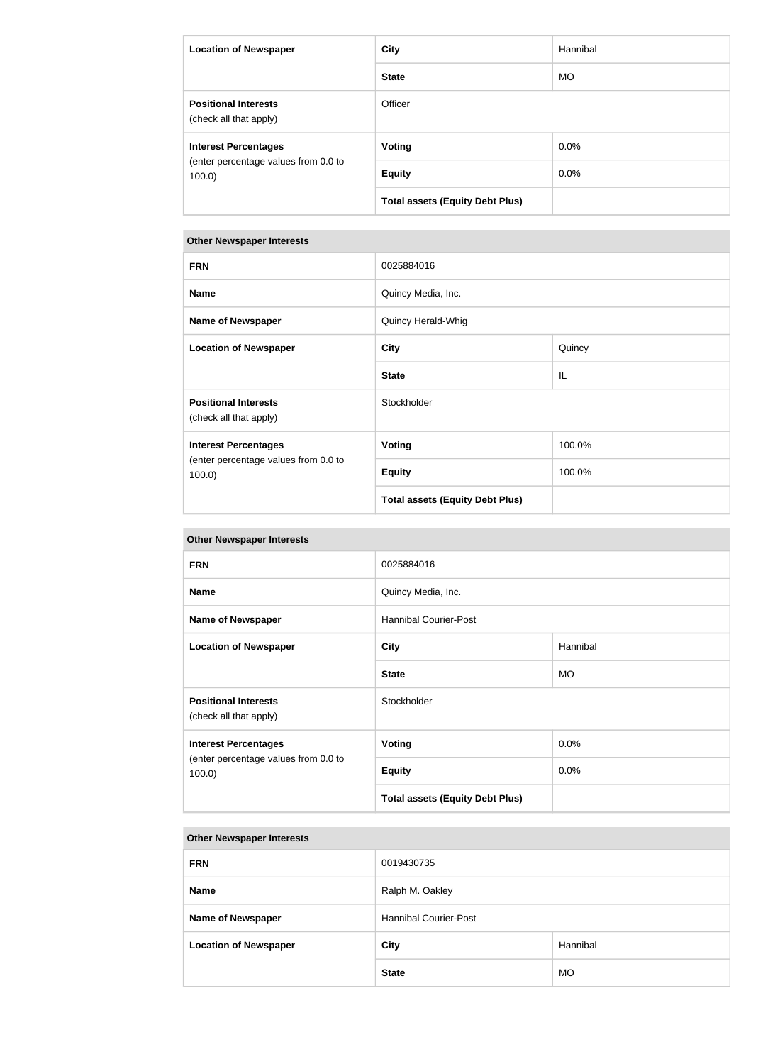| <b>Location of Newspaper</b>                          | City                                   | Hannibal  |
|-------------------------------------------------------|----------------------------------------|-----------|
|                                                       | <b>State</b>                           | <b>MO</b> |
| <b>Positional Interests</b><br>(check all that apply) | Officer                                |           |
| <b>Interest Percentages</b>                           | <b>Voting</b>                          | $0.0\%$   |
| (enter percentage values from 0.0 to<br>$100.0$ )     | <b>Equity</b>                          | $0.0\%$   |
|                                                       | <b>Total assets (Equity Debt Plus)</b> |           |

| <b>FRN</b>                                                                       | 0025884016                             |        |
|----------------------------------------------------------------------------------|----------------------------------------|--------|
| <b>Name</b>                                                                      | Quincy Media, Inc.                     |        |
| <b>Name of Newspaper</b>                                                         | Quincy Herald-Whig                     |        |
| <b>Location of Newspaper</b>                                                     | <b>City</b>                            | Quincy |
|                                                                                  | <b>State</b>                           | IL     |
| <b>Positional Interests</b><br>(check all that apply)                            | Stockholder                            |        |
| <b>Interest Percentages</b><br>(enter percentage values from 0.0 to<br>$100.0$ ) | <b>Voting</b>                          | 100.0% |
|                                                                                  | <b>Equity</b>                          | 100.0% |
|                                                                                  | <b>Total assets (Equity Debt Plus)</b> |        |

#### **Other Newspaper Interests**

| <b>FRN</b>                                                                       | 0025884016                             |           |
|----------------------------------------------------------------------------------|----------------------------------------|-----------|
| <b>Name</b>                                                                      | Quincy Media, Inc.                     |           |
| <b>Name of Newspaper</b>                                                         | <b>Hannibal Courier-Post</b>           |           |
| <b>Location of Newspaper</b>                                                     | City                                   | Hannibal  |
|                                                                                  | <b>State</b>                           | <b>MO</b> |
| <b>Positional Interests</b><br>(check all that apply)                            | Stockholder                            |           |
| <b>Interest Percentages</b><br>(enter percentage values from 0.0 to<br>$100.0$ ) | <b>Voting</b>                          | 0.0%      |
|                                                                                  | <b>Equity</b>                          | 0.0%      |
|                                                                                  | <b>Total assets (Equity Debt Plus)</b> |           |

| <b>FRN</b>                   | 0019430735                   |           |
|------------------------------|------------------------------|-----------|
| <b>Name</b>                  | Ralph M. Oakley              |           |
| <b>Name of Newspaper</b>     | <b>Hannibal Courier-Post</b> |           |
| <b>Location of Newspaper</b> | <b>City</b><br>Hannibal      |           |
|                              | <b>State</b>                 | <b>MO</b> |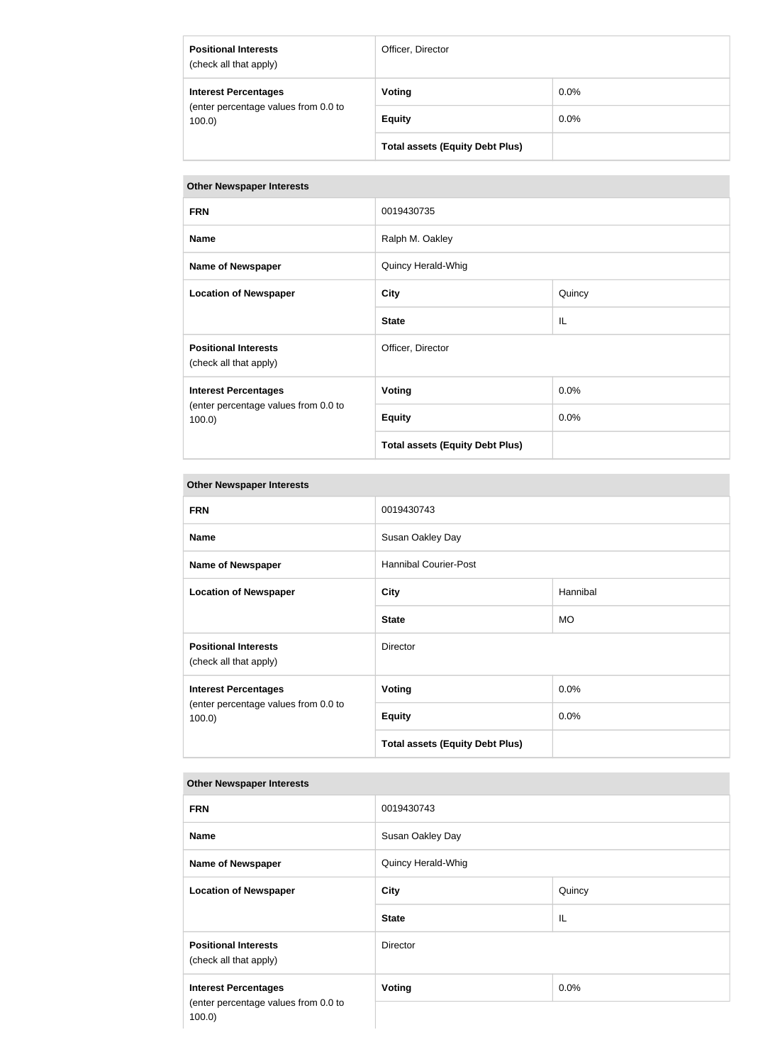| <b>Positional Interests</b><br>(check all that apply)                        | Officer, Director                      |         |
|------------------------------------------------------------------------------|----------------------------------------|---------|
| <b>Interest Percentages</b><br>(enter percentage values from 0.0 to<br>100.0 | Voting                                 | $0.0\%$ |
|                                                                              | <b>Equity</b>                          | $0.0\%$ |
|                                                                              | <b>Total assets (Equity Debt Plus)</b> |         |

| <b>FRN</b>                                                                   | 0019430735                             |        |
|------------------------------------------------------------------------------|----------------------------------------|--------|
| <b>Name</b>                                                                  | Ralph M. Oakley                        |        |
| <b>Name of Newspaper</b>                                                     | Quincy Herald-Whig                     |        |
| <b>Location of Newspaper</b>                                                 | <b>City</b>                            | Quincy |
|                                                                              | <b>State</b>                           | IL     |
| <b>Positional Interests</b><br>(check all that apply)                        | Officer, Director                      |        |
| <b>Interest Percentages</b><br>(enter percentage values from 0.0 to<br>100.0 | <b>Voting</b>                          | 0.0%   |
|                                                                              | <b>Equity</b>                          | 0.0%   |
|                                                                              | <b>Total assets (Equity Debt Plus)</b> |        |

## **Other Newspaper Interests**

| <b>FRN</b>                                            | 0019430743                             |           |
|-------------------------------------------------------|----------------------------------------|-----------|
| <b>Name</b>                                           | Susan Oakley Day                       |           |
| <b>Name of Newspaper</b>                              | <b>Hannibal Courier-Post</b>           |           |
| <b>Location of Newspaper</b>                          | <b>City</b>                            | Hannibal  |
|                                                       | <b>State</b>                           | <b>MO</b> |
| <b>Positional Interests</b><br>(check all that apply) | <b>Director</b>                        |           |
| <b>Interest Percentages</b>                           | <b>Voting</b>                          | 0.0%      |
| (enter percentage values from 0.0 to<br>100.0         | <b>Equity</b>                          | 0.0%      |
|                                                       | <b>Total assets (Equity Debt Plus)</b> |           |

| <b>FRN</b>                                                                       | 0019430743         |         |
|----------------------------------------------------------------------------------|--------------------|---------|
| <b>Name</b>                                                                      | Susan Oakley Day   |         |
| <b>Name of Newspaper</b>                                                         | Quincy Herald-Whig |         |
| <b>Location of Newspaper</b>                                                     | <b>City</b>        | Quincy  |
|                                                                                  | <b>State</b>       | IL      |
| <b>Positional Interests</b><br>(check all that apply)                            | Director           |         |
| <b>Interest Percentages</b><br>(enter percentage values from 0.0 to<br>$100.0$ ) | <b>Voting</b>      | $0.0\%$ |
|                                                                                  |                    |         |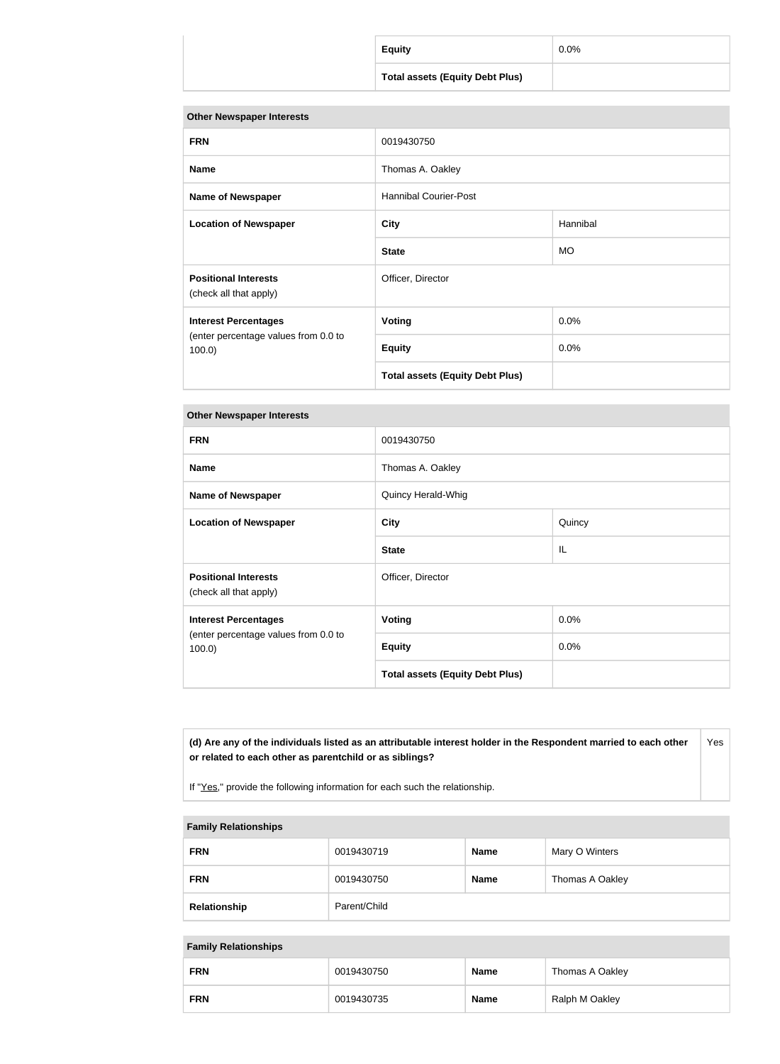| <b>Equity</b>                          | $0.0\%$ |
|----------------------------------------|---------|
| <b>Total assets (Equity Debt Plus)</b> |         |

| <b>FRN</b>                                            | 0019430750                             |           |
|-------------------------------------------------------|----------------------------------------|-----------|
| <b>Name</b>                                           | Thomas A. Oakley                       |           |
| <b>Name of Newspaper</b>                              | <b>Hannibal Courier-Post</b>           |           |
| <b>Location of Newspaper</b>                          | <b>City</b>                            | Hannibal  |
|                                                       | <b>State</b>                           | <b>MO</b> |
| <b>Positional Interests</b><br>(check all that apply) | Officer, Director                      |           |
| <b>Interest Percentages</b>                           | <b>Voting</b>                          | 0.0%      |
| (enter percentage values from 0.0 to<br>$100.0$ )     | <b>Equity</b>                          | 0.0%      |
|                                                       | <b>Total assets (Equity Debt Plus)</b> |           |

#### **Other Newspaper Interests**

| <b>FRN</b>                                                                       | 0019430750                             |         |
|----------------------------------------------------------------------------------|----------------------------------------|---------|
| <b>Name</b>                                                                      | Thomas A. Oakley                       |         |
| <b>Name of Newspaper</b>                                                         | Quincy Herald-Whig                     |         |
| <b>Location of Newspaper</b>                                                     | <b>City</b>                            | Quincy  |
|                                                                                  | <b>State</b>                           | IL      |
| <b>Positional Interests</b><br>(check all that apply)                            | Officer, Director                      |         |
| <b>Interest Percentages</b><br>(enter percentage values from 0.0 to<br>$100.0$ ) | <b>Voting</b>                          | 0.0%    |
|                                                                                  | <b>Equity</b>                          | $0.0\%$ |
|                                                                                  | <b>Total assets (Equity Debt Plus)</b> |         |

**(d) Are any of the individuals listed as an attributable interest holder in the Respondent married to each other or related to each other as parentchild or as siblings?** Yes

If "Yes," provide the following information for each such the relationship.

#### **Family Relationships**

| <b>FRN</b>   | 0019430719   | <b>Name</b> | Mary O Winters  |
|--------------|--------------|-------------|-----------------|
| <b>FRN</b>   | 0019430750   | <b>Name</b> | Thomas A Oakley |
| Relationship | Parent/Child |             |                 |

#### **Family Relationships**

| <b>FRN</b> | 0019430750 | <b>Name</b> | Thomas A Oakley |
|------------|------------|-------------|-----------------|
| <b>FRN</b> | 0019430735 | <b>Name</b> | Ralph M Oakley  |